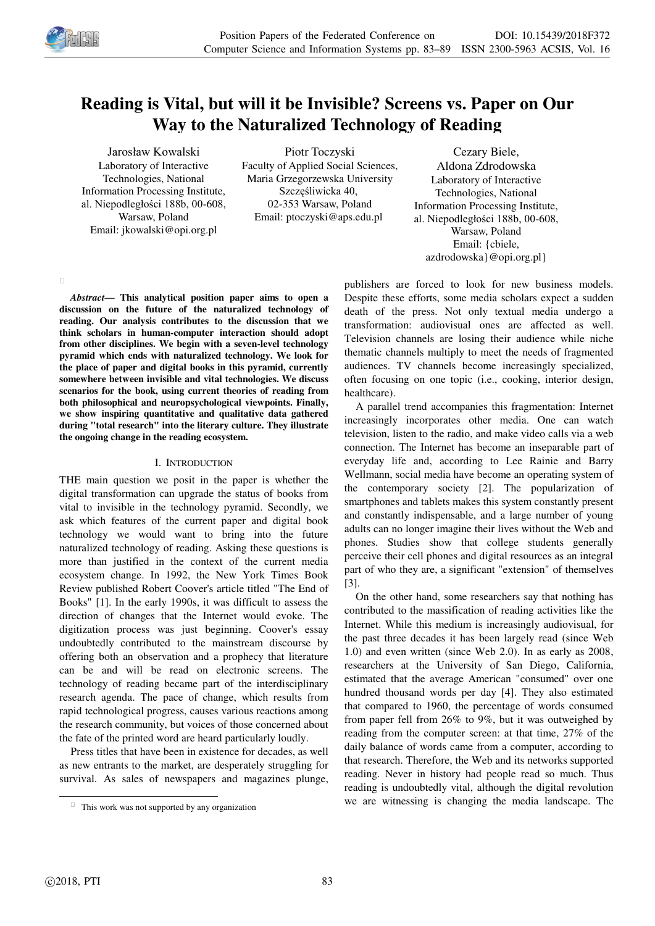

# **Reading is Vital, but will it be Invisible? Screens vs. Paper on Our Way to the Naturalized Technology of Reading**

Jarosław Kowalski Laboratory of Interactive Technologies, National Information Processing Institute, al. Niepodległości 188b, 00-608, Warsaw, Poland Email: jkowalski@opi.org.pl

Piotr Toczyski Faculty of Applied Social Sciences, Maria Grzegorzewska University Szczęśliwicka 40, 02-353 Warsaw, Poland Email: ptoczyski@aps.edu.pl

Cezary Biele, Aldona Zdrodowska Laboratory of Interactive Technologies, National Information Processing Institute, al. Niepodległości 188b, 00-608, Warsaw, Poland Email: {cbiele, azdrodowska}@opi.org.pl}

 $\Box$ 

*Abstract—* **This analytical position paper aims to open a discussion on the future of the naturalized technology of reading. Our analysis contributes to the discussion that we think scholars in human-computer interaction should adopt from other disciplines. We begin with a seven-level technology pyramid which ends with naturalized technology. We look for the place of paper and digital books in this pyramid, currently somewhere between invisible and vital technologies. We discuss scenarios for the book, using current theories of reading from both philosophical and neuropsychological viewpoints. Finally, we show inspiring quantitative and qualitative data gathered during "total research" into the literary culture. They illustrate the ongoing change in the reading ecosystem.**

## I. INTRODUCTION

THE main question we posit in the paper is whether the digital transformation can upgrade the status of books from vital to invisible in the technology pyramid. Secondly, we ask which features of the current paper and digital book technology we would want to bring into the future naturalized technology of reading. Asking these questions is more than justified in the context of the current media ecosystem change. In 1992, the New York Times Book Review published Robert Coover's article titled "The End of Books" [1]. In the early 1990s, it was difficult to assess the direction of changes that the Internet would evoke. The digitization process was just beginning. Coover's essay undoubtedly contributed to the mainstream discourse by offering both an observation and a prophecy that literature can be and will be read on electronic screens. The technology of reading became part of the interdisciplinary research agenda. The pace of change, which results from rapid technological progress, causes various reactions among the research community, but voices of those concerned about the fate of the printed word are heard particularly loudly.

Press titles that have been in existence for decades, as well as new entrants to the market, are desperately struggling for survival. As sales of newspapers and magazines plunge,

publishers are forced to look for new business models. Despite these efforts, some media scholars expect a sudden death of the press. Not only textual media undergo a transformation: audiovisual ones are affected as well. Television channels are losing their audience while niche thematic channels multiply to meet the needs of fragmented audiences. TV channels become increasingly specialized, often focusing on one topic (i.e., cooking, interior design, healthcare).

A parallel trend accompanies this fragmentation: Internet increasingly incorporates other media. One can watch television, listen to the radio, and make video calls via a web connection. The Internet has become an inseparable part of everyday life and, according to Lee Rainie and Barry Wellmann, social media have become an operating system of the contemporary society [2]. The popularization of smartphones and tablets makes this system constantly present and constantly indispensable, and a large number of young adults can no longer imagine their lives without the Web and phones. Studies show that college students generally perceive their cell phones and digital resources as an integral part of who they are, a significant "extension" of themselves [3].

On the other hand, some researchers say that nothing has contributed to the massification of reading activities like the Internet. While this medium is increasingly audiovisual, for the past three decades it has been largely read (since Web 1.0) and even written (since Web 2.0). In as early as 2008, researchers at the University of San Diego, California, estimated that the average American "consumed" over one hundred thousand words per day [4]. They also estimated that compared to 1960, the percentage of words consumed from paper fell from 26% to 9%, but it was outweighed by reading from the computer screen: at that time, 27% of the daily balance of words came from a computer, according to that research. Therefore, the Web and its networks supported reading. Never in history had people read so much. Thus reading is undoubtedly vital, although the digital revolution we are witnessing is changing the media landscape. The

-

 $\Box$  This work was not supported by any organization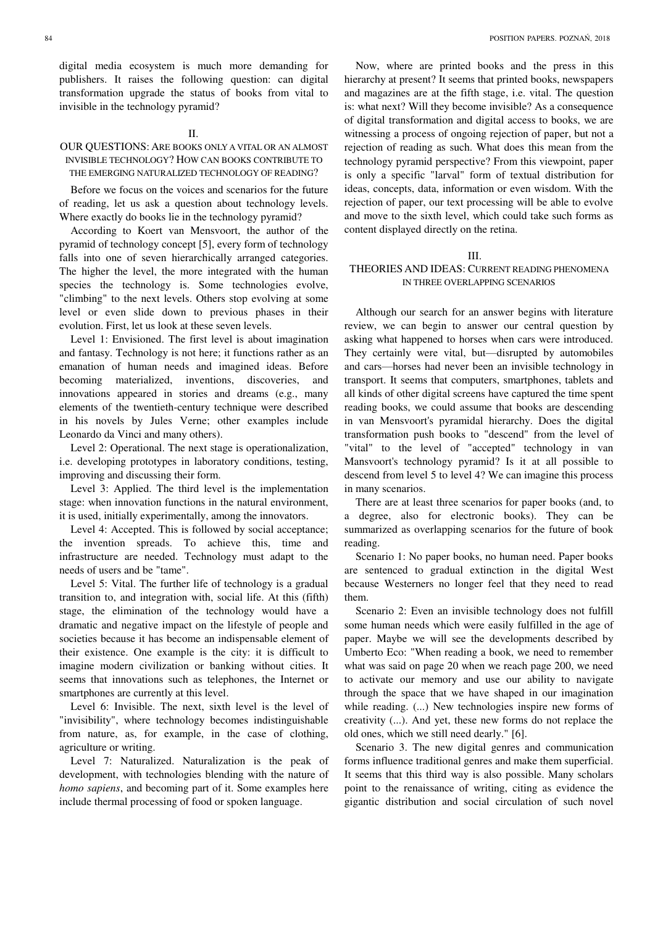digital media ecosystem is much more demanding for publishers. It raises the following question: can digital transformation upgrade the status of books from vital to invisible in the technology pyramid?

#### $II$

## OUR QUESTIONS: ARE BOOKS ONLY A VITAL OR AN ALMOST INVISIBLE TECHNOLOGY? HOW CAN BOOKS CONTRIBUTE TO THE EMERGING NATURALIZED TECHNOLOGY OF READING?

Before we focus on the voices and scenarios for the future of reading, let us ask a question about technology levels. Where exactly do books lie in the technology pyramid?

According to Koert van Mensvoort, the author of the pyramid of technology concept [5], every form of technology falls into one of seven hierarchically arranged categories. The higher the level, the more integrated with the human species the technology is. Some technologies evolve, "climbing" to the next levels. Others stop evolving at some level or even slide down to previous phases in their evolution. First, let us look at these seven levels.

Level 1: Envisioned. The first level is about imagination and fantasy. Technology is not here; it functions rather as an emanation of human needs and imagined ideas. Before becoming materialized, inventions, discoveries, and innovations appeared in stories and dreams (e.g., many elements of the twentieth-century technique were described in his novels by Jules Verne; other examples include Leonardo da Vinci and many others).

Level 2: Operational. The next stage is operationalization, i.e. developing prototypes in laboratory conditions, testing, improving and discussing their form.

Level 3: Applied. The third level is the implementation stage: when innovation functions in the natural environment, it is used, initially experimentally, among the innovators.

Level 4: Accepted. This is followed by social acceptance; the invention spreads. To achieve this, time and infrastructure are needed. Technology must adapt to the needs of users and be "tame".

Level 5: Vital. The further life of technology is a gradual transition to, and integration with, social life. At this (fifth) stage, the elimination of the technology would have a dramatic and negative impact on the lifestyle of people and societies because it has become an indispensable element of their existence. One example is the city: it is difficult to imagine modern civilization or banking without cities. It seems that innovations such as telephones, the Internet or smartphones are currently at this level.

Level 6: Invisible. The next, sixth level is the level of "invisibility", where technology becomes indistinguishable from nature, as, for example, in the case of clothing, agriculture or writing.

Level 7: Naturalized. Naturalization is the peak of development, with technologies blending with the nature of *homo sapiens*, and becoming part of it. Some examples here include thermal processing of food or spoken language.

Now, where are printed books and the press in this hierarchy at present? It seems that printed books, newspapers and magazines are at the fifth stage, i.e. vital. The question is: what next? Will they become invisible? As a consequence of digital transformation and digital access to books, we are witnessing a process of ongoing rejection of paper, but not a rejection of reading as such. What does this mean from the technology pyramid perspective? From this viewpoint, paper is only a specific "larval" form of textual distribution for ideas, concepts, data, information or even wisdom. With the rejection of paper, our text processing will be able to evolve and move to the sixth level, which could take such forms as content displayed directly on the retina.

#### III.

## THEORIES AND IDEAS: CURRENT READING PHENOMENA IN THREE OVERLAPPING SCENARIOS

Although our search for an answer begins with literature review, we can begin to answer our central question by asking what happened to horses when cars were introduced. They certainly were vital, but—disrupted by automobiles and cars—horses had never been an invisible technology in transport. It seems that computers, smartphones, tablets and all kinds of other digital screens have captured the time spent reading books, we could assume that books are descending in van Mensvoort's pyramidal hierarchy. Does the digital transformation push books to "descend" from the level of "vital" to the level of "accepted" technology in van Mansvoort's technology pyramid? Is it at all possible to descend from level 5 to level 4? We can imagine this process in many scenarios.

There are at least three scenarios for paper books (and, to a degree, also for electronic books). They can be summarized as overlapping scenarios for the future of book reading.

Scenario 1: No paper books, no human need. Paper books are sentenced to gradual extinction in the digital West because Westerners no longer feel that they need to read them.

Scenario 2: Even an invisible technology does not fulfill some human needs which were easily fulfilled in the age of paper. Maybe we will see the developments described by Umberto Eco: "When reading a book, we need to remember what was said on page 20 when we reach page 200, we need to activate our memory and use our ability to navigate through the space that we have shaped in our imagination while reading.  $(...)$  New technologies inspire new forms of creativity (...). And yet, these new forms do not replace the old ones, which we still need dearly." [6].

Scenario 3. The new digital genres and communication forms influence traditional genres and make them superficial. It seems that this third way is also possible. Many scholars point to the renaissance of writing, citing as evidence the gigantic distribution and social circulation of such novel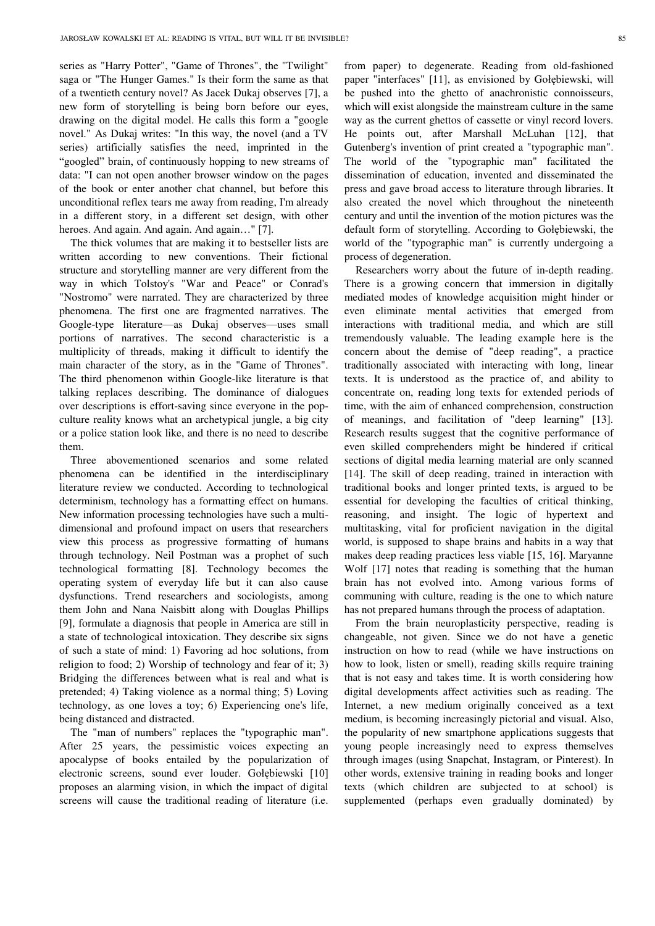series as "Harry Potter", "Game of Thrones", the "Twilight" saga or "The Hunger Games." Is their form the same as that of a twentieth century novel? As Jacek Dukaj observes [7], a new form of storytelling is being born before our eyes, drawing on the digital model. He calls this form a "google novel." As Dukaj writes: "In this way, the novel (and a TV series) artificially satisfies the need, imprinted in the "googled" brain, of continuously hopping to new streams of data: "I can not open another browser window on the pages of the book or enter another chat channel, but before this unconditional reflex tears me away from reading, I'm already in a different story, in a different set design, with other heroes. And again. And again. And again..." [7].

The thick volumes that are making it to bestseller lists are written according to new conventions. Their fictional structure and storytelling manner are very different from the way in which Tolstoy's "War and Peace" or Conrad's "Nostromo" were narrated. They are characterized by three phenomena. The first one are fragmented narratives. The Google-type literature—as Dukaj observes—uses small portions of narratives. The second characteristic is a multiplicity of threads, making it difficult to identify the main character of the story, as in the "Game of Thrones". The third phenomenon within Google-like literature is that talking replaces describing. The dominance of dialogues over descriptions is effort-saving since everyone in the popculture reality knows what an archetypical jungle, a big city or a police station look like, and there is no need to describe them.

Three abovementioned scenarios and some related phenomena can be identified in the interdisciplinary literature review we conducted. According to technological determinism, technology has a formatting effect on humans. New information processing technologies have such a multidimensional and profound impact on users that researchers view this process as progressive formatting of humans through technology. Neil Postman was a prophet of such technological formatting [8]. Technology becomes the operating system of everyday life but it can also cause dysfunctions. Trend researchers and sociologists, among them John and Nana Naisbitt along with Douglas Phillips [9], formulate a diagnosis that people in America are still in a state of technological intoxication. They describe six signs of such a state of mind: 1) Favoring ad hoc solutions, from religion to food; 2) Worship of technology and fear of it; 3) Bridging the differences between what is real and what is pretended; 4) Taking violence as a normal thing; 5) Loving technology, as one loves a toy; 6) Experiencing one's life, being distanced and distracted.

The "man of numbers" replaces the "typographic man". After 25 years, the pessimistic voices expecting an apocalypse of books entailed by the popularization of electronic screens, sound ever louder. Gołębiewski [10] proposes an alarming vision, in which the impact of digital screens will cause the traditional reading of literature (i.e.

from paper) to degenerate. Reading from old-fashioned paper "interfaces" [11], as envisioned by Gołębiewski, will be pushed into the ghetto of anachronistic connoisseurs, which will exist alongside the mainstream culture in the same way as the current ghettos of cassette or vinyl record lovers. He points out, after Marshall McLuhan [12], that Gutenberg's invention of print created a "typographic man". The world of the "typographic man" facilitated the dissemination of education, invented and disseminated the press and gave broad access to literature through libraries. It also created the novel which throughout the nineteenth century and until the invention of the motion pictures was the default form of storytelling. According to Gołębiewski, the world of the "typographic man" is currently undergoing a process of degeneration.

Researchers worry about the future of in-depth reading. There is a growing concern that immersion in digitally mediated modes of knowledge acquisition might hinder or even eliminate mental activities that emerged from interactions with traditional media, and which are still tremendously valuable. The leading example here is the concern about the demise of "deep reading", a practice traditionally associated with interacting with long, linear texts. It is understood as the practice of, and ability to concentrate on, reading long texts for extended periods of time, with the aim of enhanced comprehension, construction of meanings, and facilitation of "deep learning" [13]. Research results suggest that the cognitive performance of even skilled comprehenders might be hindered if critical sections of digital media learning material are only scanned [14]. The skill of deep reading, trained in interaction with traditional books and longer printed texts, is argued to be essential for developing the faculties of critical thinking, reasoning, and insight. The logic of hypertext and multitasking, vital for proficient navigation in the digital world, is supposed to shape brains and habits in a way that makes deep reading practices less viable [15, 16]. Maryanne Wolf [17] notes that reading is something that the human brain has not evolved into. Among various forms of communing with culture, reading is the one to which nature has not prepared humans through the process of adaptation.

From the brain neuroplasticity perspective, reading is changeable, not given. Since we do not have a genetic instruction on how to read (while we have instructions on how to look, listen or smell), reading skills require training that is not easy and takes time. It is worth considering how digital developments affect activities such as reading. The Internet, a new medium originally conceived as a text medium, is becoming increasingly pictorial and visual. Also, the popularity of new smartphone applications suggests that young people increasingly need to express themselves through images (using Snapchat, Instagram, or Pinterest). In other words, extensive training in reading books and longer texts (which children are subjected to at school) is supplemented (perhaps even gradually dominated) by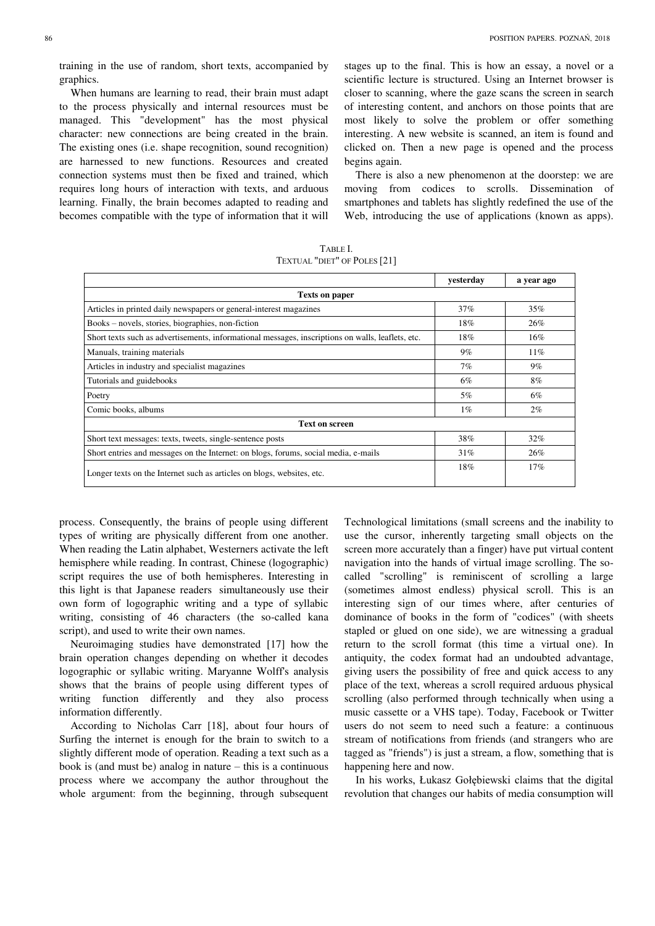training in the use of random, short texts, accompanied by graphics.

When humans are learning to read, their brain must adapt to the process physically and internal resources must be managed. This "development" has the most physical character: new connections are being created in the brain. The existing ones (i.e. shape recognition, sound recognition) are harnessed to new functions. Resources and created connection systems must then be fixed and trained, which requires long hours of interaction with texts, and arduous learning. Finally, the brain becomes adapted to reading and becomes compatible with the type of information that it will

stages up to the final. This is how an essay, a novel or a scientific lecture is structured. Using an Internet browser is closer to scanning, where the gaze scans the screen in search of interesting content, and anchors on those points that are most likely to solve the problem or offer something interesting. A new website is scanned, an item is found and clicked on. Then a new page is opened and the process begins again.

There is also a new phenomenon at the doorstep: we are moving from codices to scrolls. Dissemination of smartphones and tablets has slightly redefined the use of the Web, introducing the use of applications (known as apps).

TABLE I. TEXTUAL "DIET" OF POLES [21]

|                                                                                                   | vesterday | a year ago |  |  |  |  |  |
|---------------------------------------------------------------------------------------------------|-----------|------------|--|--|--|--|--|
| <b>Texts on paper</b>                                                                             |           |            |  |  |  |  |  |
| Articles in printed daily newspapers or general-interest magazines                                | 37%       | 35%        |  |  |  |  |  |
| Books – novels, stories, biographies, non-fiction                                                 | 18%       | 26%        |  |  |  |  |  |
| Short texts such as advertisements, informational messages, inscriptions on walls, leaflets, etc. | 18%       | 16%        |  |  |  |  |  |
| Manuals, training materials                                                                       | 9%        | $11\%$     |  |  |  |  |  |
| Articles in industry and specialist magazines                                                     | 7%        | $9\%$      |  |  |  |  |  |
| Tutorials and guidebooks                                                                          | 6%        | 8%         |  |  |  |  |  |
| Poetry                                                                                            | 5%        | 6%         |  |  |  |  |  |
| Comic books, albums                                                                               | $1\%$     | $2\%$      |  |  |  |  |  |
| <b>Text on screen</b>                                                                             |           |            |  |  |  |  |  |
| Short text messages: texts, tweets, single-sentence posts                                         | 38%       | $32\%$     |  |  |  |  |  |
| Short entries and messages on the Internet: on blogs, forums, social media, e-mails               | 31%       | 26%        |  |  |  |  |  |
| Longer texts on the Internet such as articles on blogs, websites, etc.                            | 18%       | 17%        |  |  |  |  |  |

process. Consequently, the brains of people using different types of writing are physically different from one another. When reading the Latin alphabet, Westerners activate the left hemisphere while reading. In contrast, Chinese (logographic) script requires the use of both hemispheres. Interesting in this light is that Japanese readers simultaneously use their own form of logographic writing and a type of syllabic writing, consisting of 46 characters (the so-called kana script), and used to write their own names.

Neuroimaging studies have demonstrated [17] how the brain operation changes depending on whether it decodes logographic or syllabic writing. Maryanne Wolff's analysis shows that the brains of people using different types of writing function differently and they also process information differently.

According to Nicholas Carr [18], about four hours of Surfing the internet is enough for the brain to switch to a slightly different mode of operation. Reading a text such as a book is (and must be) analog in nature – this is a continuous process where we accompany the author throughout the whole argument: from the beginning, through subsequent

Technological limitations (small screens and the inability to use the cursor, inherently targeting small objects on the screen more accurately than a finger) have put virtual content navigation into the hands of virtual image scrolling. The socalled "scrolling" is reminiscent of scrolling a large (sometimes almost endless) physical scroll. This is an interesting sign of our times where, after centuries of dominance of books in the form of "codices" (with sheets stapled or glued on one side), we are witnessing a gradual return to the scroll format (this time a virtual one). In antiquity, the codex format had an undoubted advantage, giving users the possibility of free and quick access to any place of the text, whereas a scroll required arduous physical scrolling (also performed through technically when using a music cassette or a VHS tape). Today, Facebook or Twitter users do not seem to need such a feature: a continuous stream of notifications from friends (and strangers who are tagged as "friends") is just a stream, a flow, something that is happening here and now.

In his works, Łukasz Gołębiewski claims that the digital revolution that changes our habits of media consumption will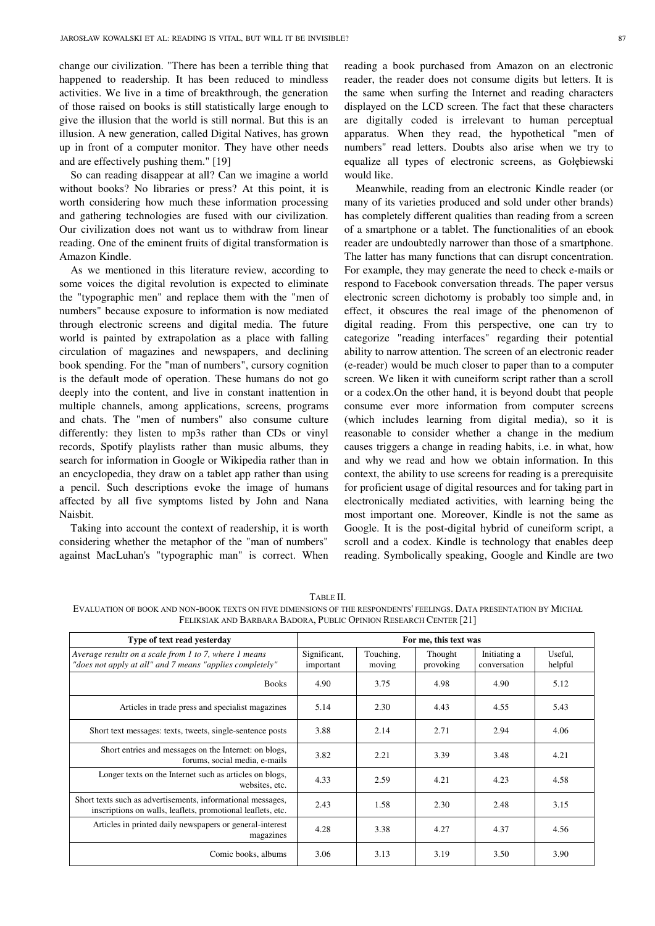change our civilization. "There has been a terrible thing that happened to readership. It has been reduced to mindless activities. We live in a time of breakthrough, the generation of those raised on books is still statistically large enough to give the illusion that the world is still normal. But this is an illusion. A new generation, called Digital Natives, has grown up in front of a computer monitor. They have other needs and are effectively pushing them." [19]

So can reading disappear at all? Can we imagine a world without books? No libraries or press? At this point, it is worth considering how much these information processing and gathering technologies are fused with our civilization. Our civilization does not want us to withdraw from linear reading. One of the eminent fruits of digital transformation is Amazon Kindle.

As we mentioned in this literature review, according to some voices the digital revolution is expected to eliminate the "typographic men" and replace them with the "men of numbers" because exposure to information is now mediated through electronic screens and digital media. The future world is painted by extrapolation as a place with falling circulation of magazines and newspapers, and declining book spending. For the "man of numbers", cursory cognition is the default mode of operation. These humans do not go deeply into the content, and live in constant inattention in multiple channels, among applications, screens, programs and chats. The "men of numbers" also consume culture differently: they listen to mp3s rather than CDs or vinyl records, Spotify playlists rather than music albums, they search for information in Google or Wikipedia rather than in an encyclopedia, they draw on a tablet app rather than using a pencil. Such descriptions evoke the image of humans affected by all five symptoms listed by John and Nana Naisbit.

Taking into account the context of readership, it is worth considering whether the metaphor of the "man of numbers" against MacLuhan's "typographic man" is correct. When reading a book purchased from Amazon on an electronic reader, the reader does not consume digits but letters. It is the same when surfing the Internet and reading characters displayed on the LCD screen. The fact that these characters are digitally coded is irrelevant to human perceptual apparatus. When they read, the hypothetical "men of numbers" read letters. Doubts also arise when we try to equalize all types of electronic screens, as Gołębiewski would like.

Meanwhile, reading from an electronic Kindle reader (or many of its varieties produced and sold under other brands) has completely different qualities than reading from a screen of a smartphone or a tablet. The functionalities of an ebook reader are undoubtedly narrower than those of a smartphone. The latter has many functions that can disrupt concentration. For example, they may generate the need to check e-mails or respond to Facebook conversation threads. The paper versus electronic screen dichotomy is probably too simple and, in effect, it obscures the real image of the phenomenon of digital reading. From this perspective, one can try to categorize "reading interfaces" regarding their potential ability to narrow attention. The screen of an electronic reader (e-reader) would be much closer to paper than to a computer screen. We liken it with cuneiform script rather than a scroll or a codex.On the other hand, it is beyond doubt that people consume ever more information from computer screens (which includes learning from digital media), so it is reasonable to consider whether a change in the medium causes triggers a change in reading habits, i.e. in what, how and why we read and how we obtain information. In this context, the ability to use screens for reading is a prerequisite for proficient usage of digital resources and for taking part in electronically mediated activities, with learning being the most important one. Moreover, Kindle is not the same as Google. It is the post-digital hybrid of cuneiform script, a scroll and a codex. Kindle is technology that enables deep reading. Symbolically speaking, Google and Kindle are two

TABLE II. EVALUATION OF BOOK AND NON-BOOK TEXTS ON FIVE DIMENSIONS OF THE RESPONDENTS' FEELINGS. DATA PRESENTATION BY MICHAŁ FELIKSIAK AND BARBARA BADORA, PUBLIC OPINION RESEARCH CENTER [21]

| Type of text read yesterday                                                                                                | For me, this text was     |                     |                      |                              |                    |
|----------------------------------------------------------------------------------------------------------------------------|---------------------------|---------------------|----------------------|------------------------------|--------------------|
| Average results on a scale from 1 to 7, where 1 means<br>"does not apply at all" and 7 means "applies completely"          | Significant,<br>important | Touching,<br>moving | Thought<br>provoking | Initiating a<br>conversation | Useful,<br>helpful |
| <b>Books</b>                                                                                                               | 4.90                      | 3.75                | 4.98                 | 4.90                         | 5.12               |
| Articles in trade press and specialist magazines                                                                           | 5.14                      | 2.30                | 4.43                 | 4.55                         | 5.43               |
| Short text messages: texts, tweets, single-sentence posts                                                                  | 3.88                      | 2.14                | 2.71                 | 2.94                         | 4.06               |
| Short entries and messages on the Internet: on blogs,<br>forums, social media, e-mails                                     | 3.82                      | 2.21                | 3.39                 | 3.48                         | 4.21               |
| Longer texts on the Internet such as articles on blogs,<br>websites, etc.                                                  | 4.33                      | 2.59                | 4.21                 | 4.23                         | 4.58               |
| Short texts such as advertisements, informational messages,<br>inscriptions on walls, leaflets, promotional leaflets, etc. | 2.43                      | 1.58                | 2.30                 | 2.48                         | 3.15               |
| Articles in printed daily newspapers or general-interest<br>magazines                                                      | 4.28                      | 3.38                | 4.27                 | 4.37                         | 4.56               |
| Comic books, albums                                                                                                        | 3.06                      | 3.13                | 3.19                 | 3.50                         | 3.90               |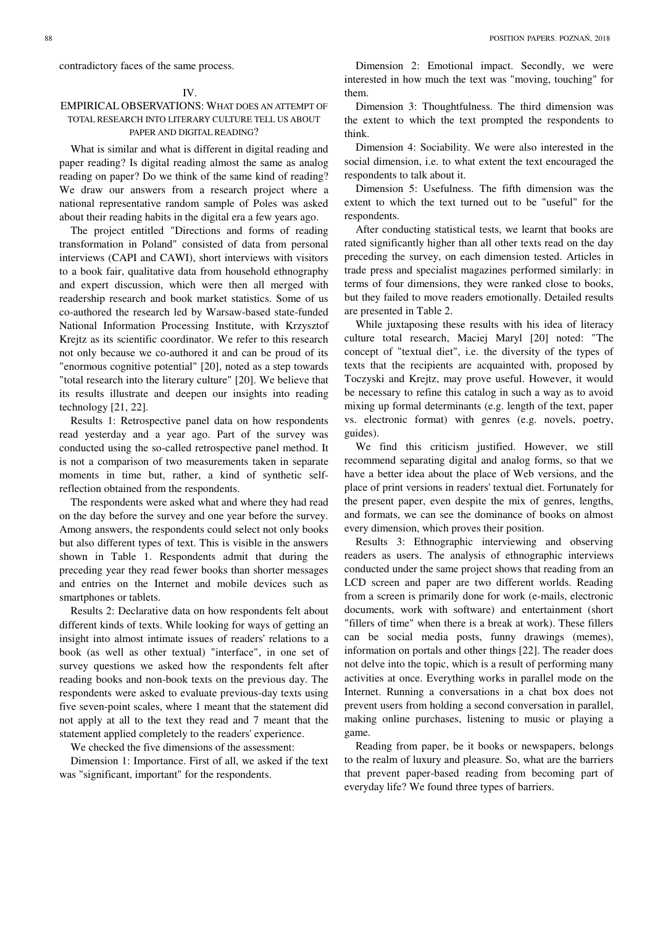contradictory faces of the same process.

#### IV.

## EMPIRICAL OBSERVATIONS: WHAT DOES AN ATTEMPT OF TOTAL RESEARCH INTO LITERARY CULTURE TELL US ABOUT PAPER AND DIGITAL READING?

What is similar and what is different in digital reading and paper reading? Is digital reading almost the same as analog reading on paper? Do we think of the same kind of reading? We draw our answers from a research project where a national representative random sample of Poles was asked about their reading habits in the digital era a few years ago.

The project entitled "Directions and forms of reading transformation in Poland" consisted of data from personal interviews (CAPI and CAWI), short interviews with visitors to a book fair, qualitative data from household ethnography and expert discussion, which were then all merged with readership research and book market statistics. Some of us co-authored the research led by Warsaw-based state-funded National Information Processing Institute, with Krzysztof Krejtz as its scientific coordinator. We refer to this research not only because we co-authored it and can be proud of its "enormous cognitive potential" [20], noted as a step towards "total research into the literary culture" [20]. We believe that its results illustrate and deepen our insights into reading technology [21, 22].

Results 1: Retrospective panel data on how respondents read yesterday and a year ago. Part of the survey was conducted using the so-called retrospective panel method. It is not a comparison of two measurements taken in separate moments in time but, rather, a kind of synthetic selfreflection obtained from the respondents.

The respondents were asked what and where they had read on the day before the survey and one year before the survey. Among answers, the respondents could select not only books but also different types of text. This is visible in the answers shown in Table 1. Respondents admit that during the preceding year they read fewer books than shorter messages and entries on the Internet and mobile devices such as smartphones or tablets.

Results 2: Declarative data on how respondents felt about different kinds of texts. While looking for ways of getting an insight into almost intimate issues of readers' relations to a book (as well as other textual) "interface", in one set of survey questions we asked how the respondents felt after reading books and non-book texts on the previous day. The respondents were asked to evaluate previous-day texts using five seven-point scales, where 1 meant that the statement did not apply at all to the text they read and 7 meant that the statement applied completely to the readers' experience.

We checked the five dimensions of the assessment:

Dimension 1: Importance. First of all, we asked if the text was "significant, important" for the respondents.

Dimension 2: Emotional impact. Secondly, we were interested in how much the text was "moving, touching" for them.

Dimension 3: Thoughtfulness. The third dimension was the extent to which the text prompted the respondents to think.

Dimension 4: Sociability. We were also interested in the social dimension, i.e. to what extent the text encouraged the respondents to talk about it.

Dimension 5: Usefulness. The fifth dimension was the extent to which the text turned out to be "useful" for the respondents.

After conducting statistical tests, we learnt that books are rated significantly higher than all other texts read on the day preceding the survey, on each dimension tested. Articles in trade press and specialist magazines performed similarly: in terms of four dimensions, they were ranked close to books, but they failed to move readers emotionally. Detailed results are presented in Table 2.

While juxtaposing these results with his idea of literacy culture total research, Maciej Maryl [20] noted: "The concept of "textual diet", i.e. the diversity of the types of texts that the recipients are acquainted with, proposed by Toczyski and Krejtz, may prove useful. However, it would be necessary to refine this catalog in such a way as to avoid mixing up formal determinants (e.g. length of the text, paper vs. electronic format) with genres (e.g. novels, poetry, guides).

We find this criticism justified. However, we still recommend separating digital and analog forms, so that we have a better idea about the place of Web versions, and the place of print versions in readers' textual diet. Fortunately for the present paper, even despite the mix of genres, lengths, and formats, we can see the dominance of books on almost every dimension, which proves their position.

Results 3: Ethnographic interviewing and observing readers as users. The analysis of ethnographic interviews conducted under the same project shows that reading from an LCD screen and paper are two different worlds. Reading from a screen is primarily done for work (e-mails, electronic documents, work with software) and entertainment (short "fillers of time" when there is a break at work). These fillers can be social media posts, funny drawings (memes), information on portals and other things [22]. The reader does not delve into the topic, which is a result of performing many activities at once. Everything works in parallel mode on the Internet. Running a conversations in a chat box does not prevent users from holding a second conversation in parallel, making online purchases, listening to music or playing a game.

Reading from paper, be it books or newspapers, belongs to the realm of luxury and pleasure. So, what are the barriers that prevent paper-based reading from becoming part of everyday life? We found three types of barriers.